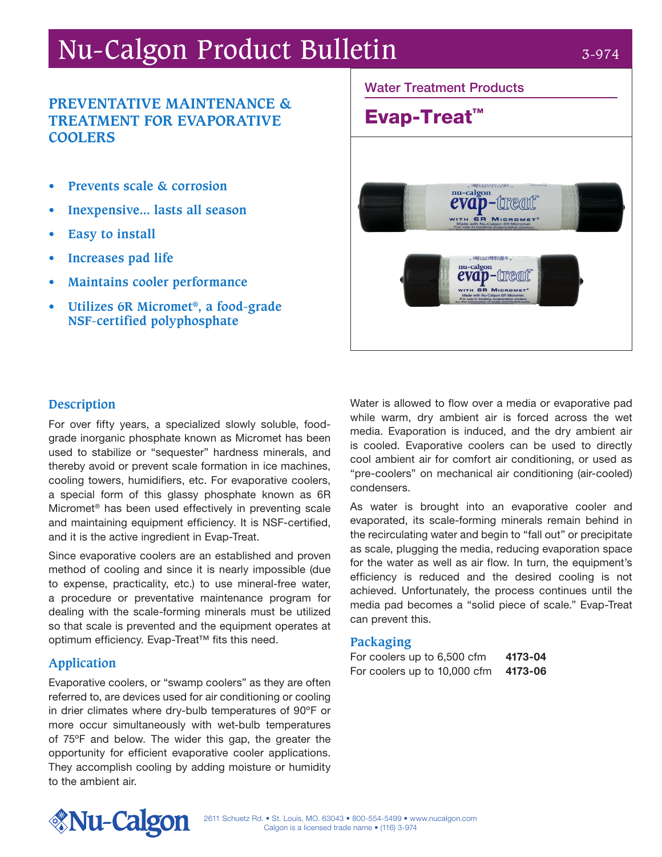# Nu-Calgon Product Bulletin 3-974

## **PREVENTATIVE MAINTENANCE & TREATMENT FOR EVAPORATIVE COOLERS**

- **• Prevents scale & corrosion**
- **• Inexpensive... lasts all season**
- **• Easy to install**
- **• Increases pad life**
- **• Maintains cooler performance**
- **• Utilizes 6R Micromet®, a food-grade NSF-certified polyphosphate**



### **Description**

For over fifty years, a specialized slowly soluble, foodgrade inorganic phosphate known as Micromet has been used to stabilize or "sequester" hardness minerals, and thereby avoid or prevent scale formation in ice machines, cooling towers, humidifiers, etc. For evaporative coolers, a special form of this glassy phosphate known as 6R Micromet® has been used effectively in preventing scale and maintaining equipment efficiency. It is NSF-certified, and it is the active ingredient in Evap-Treat.

Since evaporative coolers are an established and proven method of cooling and since it is nearly impossible (due to expense, practicality, etc.) to use mineral-free water, a procedure or preventative maintenance program for dealing with the scale-forming minerals must be utilized so that scale is prevented and the equipment operates at optimum efficiency. Evap-Treat™ fits this need.

#### **Application**

Evaporative coolers, or "swamp coolers" as they are often referred to, are devices used for air conditioning or cooling in drier climates where dry-bulb temperatures of 90ºF or more occur simultaneously with wet-bulb temperatures of 75ºF and below. The wider this gap, the greater the opportunity for efficient evaporative cooler applications. They accomplish cooling by adding moisture or humidity to the ambient air.

Water is allowed to flow over a media or evaporative pad while warm, dry ambient air is forced across the wet media. Evaporation is induced, and the dry ambient air is cooled. Evaporative coolers can be used to directly cool ambient air for comfort air conditioning, or used as "pre-coolers" on mechanical air conditioning (air-cooled) condensers.

As water is brought into an evaporative cooler and evaporated, its scale-forming minerals remain behind in the recirculating water and begin to "fall out" or precipitate as scale, plugging the media, reducing evaporation space for the water as well as air flow. In turn, the equipment's efficiency is reduced and the desired cooling is not achieved. Unfortunately, the process continues until the media pad becomes a "solid piece of scale." Evap-Treat can prevent this.

#### **Packaging**

For coolers up to 6,500 cfm 4173-04 For coolers up to 10,000 cfm 4173-06